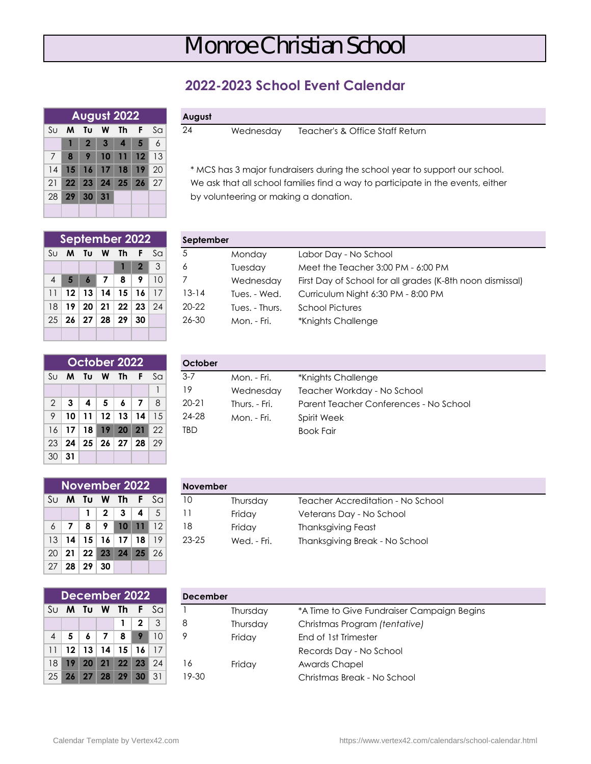## Monroe Christian School

## **2022-2023 School Event Calendar**

|                 |              |                | August 2022       |                  |    |
|-----------------|--------------|----------------|-------------------|------------------|----|
| $\rm S\cup$     | <b>M</b>     | Tu             | W Th F            |                  | Sa |
|                 | 1            |                | $2 \mid 3 \mid 4$ | $\blacksquare$ 5 | 6  |
| 7               | $\mathbf{a}$ | 9 <sup>1</sup> |                   | $10$ 11 12 13    |    |
| 14 <sup>1</sup> |              |                | 15 16 17 18 19 20 |                  |    |
| 21              |              |                | 22 23 24 25 26 27 |                  |    |
|                 |              | 28 29 30 31    |                   |                  |    |
|                 |              |                |                   |                  |    |

|  |  | August |  |
|--|--|--------|--|

**24** Wednesday Teacher's & Office Staff Return

14 **15 16 17 18 19** 20 \* MCS has 3 major fundraisers during the school year to support our school. 21 **22 23 24 25 26** 27 We ask that all school families find a way to participate in the events, either

by volunteering or making a donation.

|    | September 2022              |           |                |                |
|----|-----------------------------|-----------|----------------|----------------|
| Su | M Tu W Th                   |           | -F             | S <sub>G</sub> |
|    |                             |           | $\overline{2}$ | $\mathcal{S}$  |
| 4  | $5 \mid 6$                  | <b>78</b> | 191            | -10            |
|    | 11   12   13   14   15   16 |           |                | 17             |
| 18 | 19 20 21 22 23 24           |           |                |                |
|    | $25$ 26 27 28 29 30         |           |                |                |
|    |                             |           |                |                |

|                |       | October 2022 |    |    |    |    | October    |               |                                        |
|----------------|-------|--------------|----|----|----|----|------------|---------------|----------------------------------------|
| Su             | M     | Τυ           | W  | Th | F. | Sa | $3 - 7$    | Mon. - Fri.   | *Knights Challenge                     |
|                |       |              |    |    |    |    | 19         | Wednesday     | Teacher Workday - No School            |
| $\overline{2}$ | 3     | 4            | 5  | 6  | 7  | 8  | $20 - 21$  | Thurs. - Fri. | Parent Teacher Conferences - No School |
| 9              | 10    | 11           | 12 | 13 | 14 | 15 | 24-28      | Mon. - Fri.   | Spirit Week                            |
| 16             | 17    | 18           | 19 | 20 | 21 | 22 | <b>TBD</b> |               | <b>Book Fair</b>                       |
| 23             | 24    | 25           | 26 | 27 | 28 | 29 |            |               |                                        |
|                | 30 31 |              |    |    |    |    |            |               |                                        |

|            | September 2022 |      |                 |              |    | September |                |                                                           |
|------------|----------------|------|-----------------|--------------|----|-----------|----------------|-----------------------------------------------------------|
| Su M       | Tu             | W    | Th              |              | Sa | 5         | Monday         | Labor Day - No School                                     |
|            |                |      |                 | $\mathbf{2}$ | 3  | 6         | Tuesday        | Meet the Teacher 3:00 PM - 6:00 PM                        |
| $4 \mid 5$ |                |      | 8               | 9            | 10 |           | Wednesday      | First Day of School for all grades (K-8th noon dismissal) |
| $11$   12  | 13             | 14 I | 15              | 16           | 17 | $3 - 14$  | Tues. - Wed.   | Curriculum Night 6:30 PM - 8:00 PM                        |
| $18$ 19    | 20             | 21   | 22 <sub>1</sub> | 23           | 24 | $20 - 22$ | Tues. - Thurs. | <b>School Pictures</b>                                    |
| $25$   26  | 27             | 28   | 29              | 30           |    | 26-30     | Mon. - Fri.    | *Knights Challenge                                        |
|            |                |      |                 |              |    |           |                |                                                           |

|                |           | October 2022              |                 |                 |      |    | October   |               |                                        |
|----------------|-----------|---------------------------|-----------------|-----------------|------|----|-----------|---------------|----------------------------------------|
| Sulli          | M         | Τυ                        | W               | Th.             | ۰F.  | Sa | $3 - 7$   | Mon. - Fri.   | *Knights Challenge                     |
|                |           |                           |                 |                 |      |    | 19        | Wednesday     | Teacher Workday - No School            |
| 2 <sup>1</sup> |           |                           | 5               |                 |      | 8  | $20 - 21$ | Thurs. - Fri. | Parent Teacher Conferences - No School |
| 9 <sup>1</sup> | 10        | 11                        | 12 <sup>°</sup> | 13              | 14   | 15 | 24-28     | Mon. - Fri.   | Spirit Week                            |
|                | $16$   17 | 18                        | 19              | 20 <sup>1</sup> | 21   | 22 | TBD       |               | <b>Book Fair</b>                       |
|                |           | $\sim$ loslorio $\cdot$ l |                 |                 | 2700 | ററ |           |               |                                        |

|    |    | November 2022 |    |             |    |              | <b>November</b> |             |                                   |
|----|----|---------------|----|-------------|----|--------------|-----------------|-------------|-----------------------------------|
| Sυ | M  | Tu            | W  | $\nabla$ Th | F. | Sa           | 10              | Thursday    | Teacher Accreditation - No School |
|    |    |               | 2  | 3           | 4  | 5            |                 | Friday      | Veterans Day - No School          |
| 6  |    | 8             | 9  |             |    | 12           | 18              | Friday      | <b>Thanksgiving Feast</b>         |
| 13 | 14 | 15            | 16 | 17          | 18 | 19           | $23 - 25$       | Wed. - Fri. | Thanksgiving Break - No School    |
| 20 | 21 | 22            | 23 | 24          |    | $25 \mid 26$ |                 |             |                                   |
| 27 | 28 | 29            | 30 |             |    |              |                 |             |                                   |

|            |                      |                 |                 | November 2022   |                 |                 | <b>November</b> |             |                                   |
|------------|----------------------|-----------------|-----------------|-----------------|-----------------|-----------------|-----------------|-------------|-----------------------------------|
|            |                      | S∪ <b>M Tu</b>  | <b>W</b>        |                 |                 | <b>Th</b> F Sal | 10              | Thursday    | Teacher Accreditation - No School |
|            |                      |                 | 2 <sup>1</sup>  | $\mathbf{3}$    | $\overline{4}$  |                 |                 | Friday      | Veterans Day - No School          |
| $6 \mid 7$ |                      | 8               | - 9             |                 |                 | $10$ 11 12      | 18              | Friday      | Thanksgiving Feast                |
|            | 13 14                | 15 <sup>1</sup> | 16 <sup>1</sup> | 17 <sup>1</sup> | 18 <sup>1</sup> | 19              | $23 - 25$       | Wed. - Fri. | Thanksgiving Break - No School    |
|            | $\sim$ $\sim$ $\sim$ |                 |                 |                 |                 |                 |                 |             |                                   |

|                 |                          | December 2022                 |                 |           |
|-----------------|--------------------------|-------------------------------|-----------------|-----------|
| $\rm S\sigma$   |                          | M Tu W Th F Sa                |                 |           |
|                 |                          |                               | $1 \mid 2 \mid$ | $\vert$ 3 |
| 4               | $5 \mid 6 \mid 7 \mid 8$ |                               | 910             |           |
| 11 <sup>1</sup> |                          | $12$   13   14   15   16   17 |                 |           |
| 18              |                          | 19 20 21 22 23 24             |                 |           |
| 25              |                          | 26 27 28 29 30 31             |                 |           |

|                 |         | December 2022 |    |      |    |      | <b>December</b> |          |                                            |
|-----------------|---------|---------------|----|------|----|------|-----------------|----------|--------------------------------------------|
|                 | Su Ma   | Tu            | W  | Th F |    | - Sa |                 | Thursday | *A Time to Give Fundraiser Campaign Begins |
|                 |         |               |    |      | 2  | 3    | 8               | Thursday | Christmas Program (tentative)              |
| 4 <sup>1</sup>  |         |               |    | 8    |    | 10   | 9               | Friday   | End of 1st Trimester                       |
| 11 <sup>1</sup> | $12 \,$ | 13            | 14 | 15   | 16 | 17   |                 |          | Records Day - No School                    |
| 18 <sup>1</sup> | 19      | <b>20</b>     | 21 | 22   | 23 | 24   | 6               | Friday   | Awards Chapel                              |
|                 | $25$ 26 | 27            | 28 | 29   | 30 | 31   | 19-30           |          | Christmas Break - No School                |